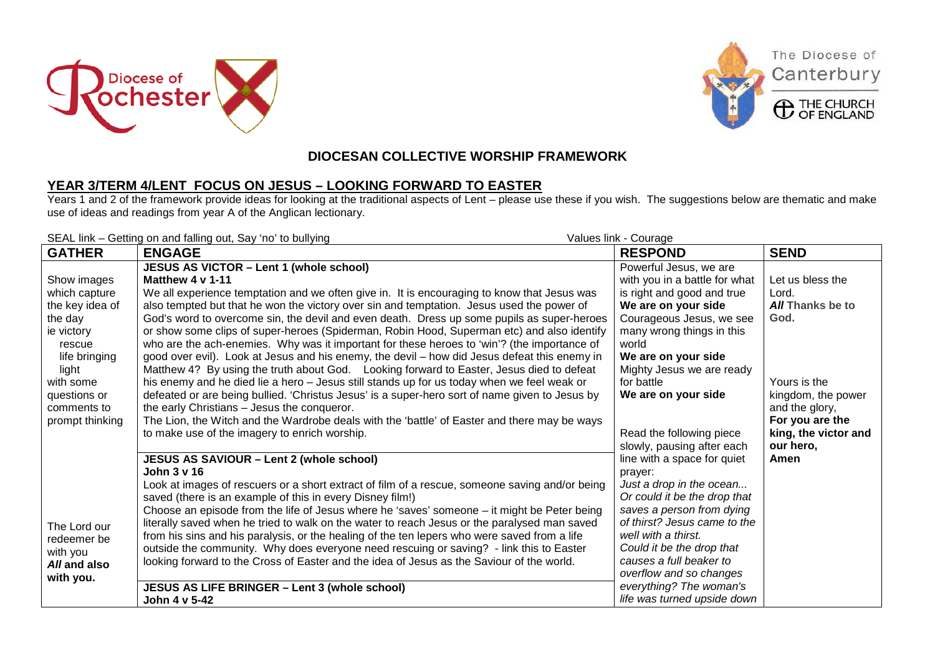





The Diocese of

Canterbury

## **DIOCESAN COLLECTIVE WORSHIP FRAMEWORK**

## **YEAR 3/TERM 4/LENT FOCUS ON JESUS – LOOKING FORWARD TO EASTER**

Years 1 and 2 of the framework provide ideas for looking at the traditional aspects of Lent – please use these if you wish. The suggestions below are thematic and make use of ideas and readings from year A of the Anglican lectionary.

| SEAL link - Getting on and falling out, Say 'no' to bullying<br>Values link - Courage |                                                                                                                                                                                                                                                                                                                                                                                                                                                                                                                                                                                                                                                                                                                                                                                 |                                                                                                                                                                                                                                                                                                                                     |                                                                                                              |  |
|---------------------------------------------------------------------------------------|---------------------------------------------------------------------------------------------------------------------------------------------------------------------------------------------------------------------------------------------------------------------------------------------------------------------------------------------------------------------------------------------------------------------------------------------------------------------------------------------------------------------------------------------------------------------------------------------------------------------------------------------------------------------------------------------------------------------------------------------------------------------------------|-------------------------------------------------------------------------------------------------------------------------------------------------------------------------------------------------------------------------------------------------------------------------------------------------------------------------------------|--------------------------------------------------------------------------------------------------------------|--|
| <b>GATHER</b>                                                                         | <b>ENGAGE</b>                                                                                                                                                                                                                                                                                                                                                                                                                                                                                                                                                                                                                                                                                                                                                                   | <b>RESPOND</b>                                                                                                                                                                                                                                                                                                                      | <b>SEND</b>                                                                                                  |  |
| Show images<br>which capture<br>the key idea of<br>the day<br>ie victory<br>rescue    | JESUS AS VICTOR - Lent 1 (whole school)<br>Matthew 4 v 1-11<br>We all experience temptation and we often give in. It is encouraging to know that Jesus was<br>also tempted but that he won the victory over sin and temptation. Jesus used the power of<br>God's word to overcome sin, the devil and even death. Dress up some pupils as super-heroes<br>or show some clips of super-heroes (Spiderman, Robin Hood, Superman etc) and also identify<br>who are the ach-enemies. Why was it important for these heroes to 'win'? (the importance of                                                                                                                                                                                                                              | Powerful Jesus, we are<br>with you in a battle for what<br>is right and good and true<br>We are on your side<br>Courageous Jesus, we see<br>many wrong things in this<br>world                                                                                                                                                      | Let us bless the<br>Lord.<br><b>All Thanks be to</b><br>God.                                                 |  |
| life bringing<br>light<br>with some<br>questions or<br>comments to<br>prompt thinking | good over evil). Look at Jesus and his enemy, the devil - how did Jesus defeat this enemy in<br>Matthew 4? By using the truth about God. Looking forward to Easter, Jesus died to defeat<br>his enemy and he died lie a hero - Jesus still stands up for us today when we feel weak or<br>defeated or are being bullied. 'Christus Jesus' is a super-hero sort of name given to Jesus by<br>the early Christians - Jesus the conqueror.<br>The Lion, the Witch and the Wardrobe deals with the 'battle' of Easter and there may be ways<br>to make use of the imagery to enrich worship.                                                                                                                                                                                        | We are on your side<br>Mighty Jesus we are ready<br>for battle<br>We are on your side<br>Read the following piece<br>slowly, pausing after each                                                                                                                                                                                     | Yours is the<br>kingdom, the power<br>and the glory,<br>For you are the<br>king, the victor and<br>our hero, |  |
| The Lord our<br>redeemer be<br>with you<br>All and also<br>with you.                  | JESUS AS SAVIOUR - Lent 2 (whole school)<br>John 3 v 16<br>Look at images of rescuers or a short extract of film of a rescue, someone saving and/or being<br>saved (there is an example of this in every Disney film!)<br>Choose an episode from the life of Jesus where he 'saves' someone - it might be Peter being<br>literally saved when he tried to walk on the water to reach Jesus or the paralysed man saved<br>from his sins and his paralysis, or the healing of the ten lepers who were saved from a life<br>outside the community. Why does everyone need rescuing or saving? - link this to Easter<br>looking forward to the Cross of Easter and the idea of Jesus as the Saviour of the world.<br>JESUS AS LIFE BRINGER - Lent 3 (whole school)<br>John 4 v 5-42 | line with a space for quiet<br>prayer:<br>Just a drop in the ocean<br>Or could it be the drop that<br>saves a person from dying<br>of thirst? Jesus came to the<br>well with a thirst.<br>Could it be the drop that<br>causes a full beaker to<br>overflow and so changes<br>everything? The woman's<br>life was turned upside down | Amen                                                                                                         |  |